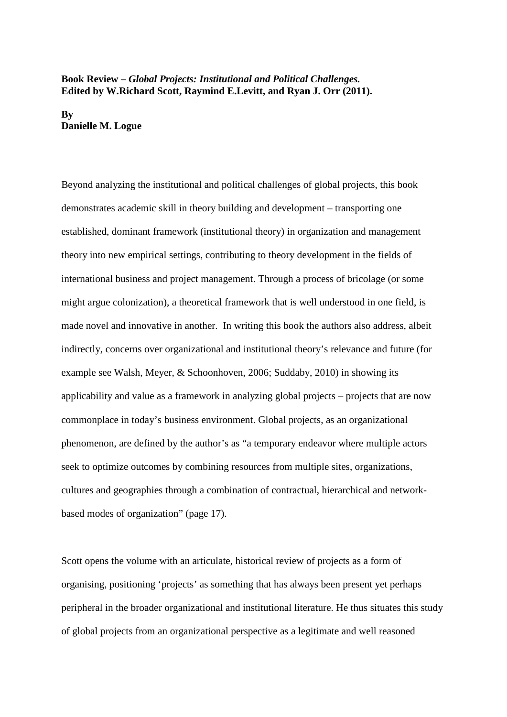## **Book Review –** *Global Projects: Institutional and Political Challenges.* **Edited by W.Richard Scott, Raymind E.Levitt, and Ryan J. Orr (2011).**

**By Danielle M. Logue**

Beyond analyzing the institutional and political challenges of global projects, this book demonstrates academic skill in theory building and development – transporting one established, dominant framework (institutional theory) in organization and management theory into new empirical settings, contributing to theory development in the fields of international business and project management. Through a process of bricolage (or some might argue colonization), a theoretical framework that is well understood in one field, is made novel and innovative in another. In writing this book the authors also address, albeit indirectly, concerns over organizational and institutional theory's relevance and future (for example see Walsh, Meyer, & Schoonhoven, 2006; Suddaby, 2010) in showing its applicability and value as a framework in analyzing global projects – projects that are now commonplace in today's business environment. Global projects, as an organizational phenomenon, are defined by the author's as "a temporary endeavor where multiple actors seek to optimize outcomes by combining resources from multiple sites, organizations, cultures and geographies through a combination of contractual, hierarchical and networkbased modes of organization" (page 17).

Scott opens the volume with an articulate, historical review of projects as a form of organising, positioning 'projects' as something that has always been present yet perhaps peripheral in the broader organizational and institutional literature. He thus situates this study of global projects from an organizational perspective as a legitimate and well reasoned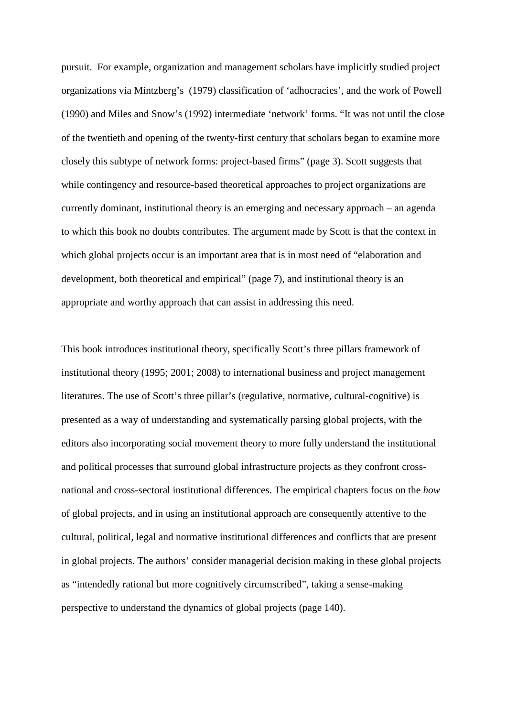pursuit. For example, organization and management scholars have implicitly studied project organizations via Mintzberg's (1979) classification of 'adhocracies', and the work of Powell (1990) and Miles and Snow's (1992) intermediate 'network' forms. "It was not until the close of the twentieth and opening of the twenty-first century that scholars began to examine more closely this subtype of network forms: project-based firms" (page 3). Scott suggests that while contingency and resource-based theoretical approaches to project organizations are currently dominant, institutional theory is an emerging and necessary approach – an agenda to which this book no doubts contributes. The argument made by Scott is that the context in which global projects occur is an important area that is in most need of "elaboration and development, both theoretical and empirical" (page 7), and institutional theory is an appropriate and worthy approach that can assist in addressing this need.

This book introduces institutional theory, specifically Scott's three pillars framework of institutional theory (1995; 2001; 2008) to international business and project management literatures. The use of Scott's three pillar's (regulative, normative, cultural-cognitive) is presented as a way of understanding and systematically parsing global projects, with the editors also incorporating social movement theory to more fully understand the institutional and political processes that surround global infrastructure projects as they confront crossnational and cross-sectoral institutional differences. The empirical chapters focus on the *how* of global projects, and in using an institutional approach are consequently attentive to the cultural, political, legal and normative institutional differences and conflicts that are present in global projects. The authors' consider managerial decision making in these global projects as "intendedly rational but more cognitively circumscribed", taking a sense-making perspective to understand the dynamics of global projects (page 140).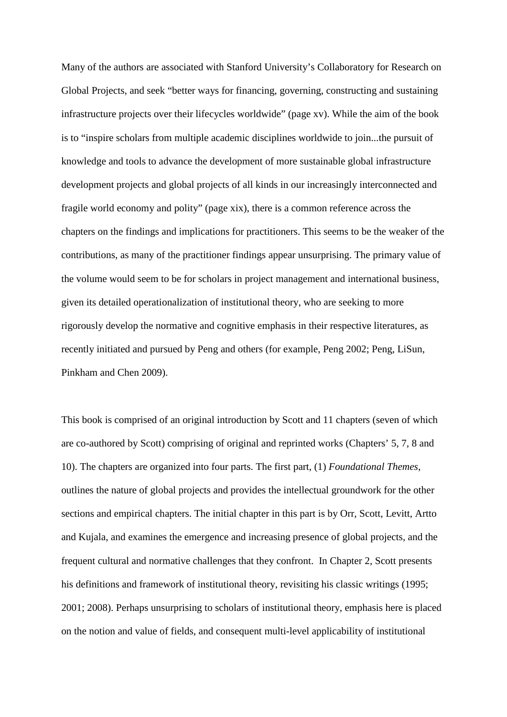Many of the authors are associated with Stanford University's Collaboratory for Research on Global Projects, and seek "better ways for financing, governing, constructing and sustaining infrastructure projects over their lifecycles worldwide" (page xv). While the aim of the book is to "inspire scholars from multiple academic disciplines worldwide to join...the pursuit of knowledge and tools to advance the development of more sustainable global infrastructure development projects and global projects of all kinds in our increasingly interconnected and fragile world economy and polity" (page xix), there is a common reference across the chapters on the findings and implications for practitioners. This seems to be the weaker of the contributions, as many of the practitioner findings appear unsurprising. The primary value of the volume would seem to be for scholars in project management and international business, given its detailed operationalization of institutional theory, who are seeking to more rigorously develop the normative and cognitive emphasis in their respective literatures, as recently initiated and pursued by Peng and others (for example, Peng 2002; Peng, LiSun, Pinkham and Chen 2009).

This book is comprised of an original introduction by Scott and 11 chapters (seven of which are co-authored by Scott) comprising of original and reprinted works (Chapters' 5, 7, 8 and 10). The chapters are organized into four parts. The first part, (1) *Foundational Themes*, outlines the nature of global projects and provides the intellectual groundwork for the other sections and empirical chapters. The initial chapter in this part is by Orr, Scott, Levitt, Artto and Kujala, and examines the emergence and increasing presence of global projects, and the frequent cultural and normative challenges that they confront. In Chapter 2, Scott presents his definitions and framework of institutional theory, revisiting his classic writings (1995; 2001; 2008). Perhaps unsurprising to scholars of institutional theory, emphasis here is placed on the notion and value of fields, and consequent multi-level applicability of institutional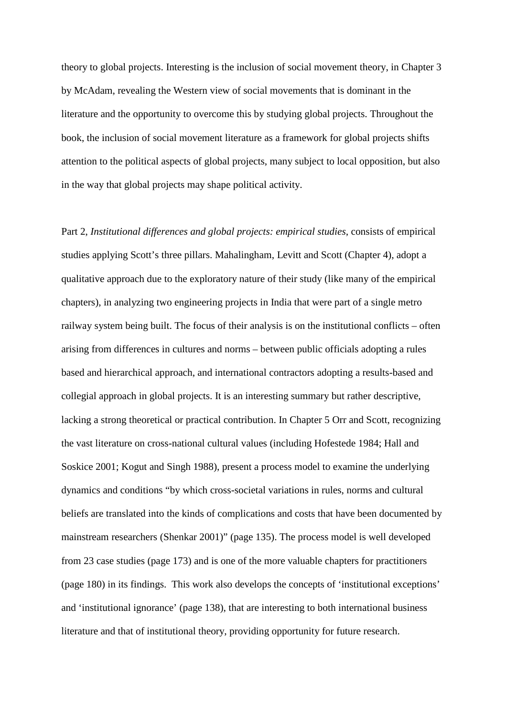theory to global projects. Interesting is the inclusion of social movement theory, in Chapter 3 by McAdam, revealing the Western view of social movements that is dominant in the literature and the opportunity to overcome this by studying global projects. Throughout the book, the inclusion of social movement literature as a framework for global projects shifts attention to the political aspects of global projects, many subject to local opposition, but also in the way that global projects may shape political activity.

Part 2, *Institutional differences and global projects: empirical studies*, consists of empirical studies applying Scott's three pillars. Mahalingham, Levitt and Scott (Chapter 4), adopt a qualitative approach due to the exploratory nature of their study (like many of the empirical chapters), in analyzing two engineering projects in India that were part of a single metro railway system being built. The focus of their analysis is on the institutional conflicts – often arising from differences in cultures and norms – between public officials adopting a rules based and hierarchical approach, and international contractors adopting a results-based and collegial approach in global projects. It is an interesting summary but rather descriptive, lacking a strong theoretical or practical contribution. In Chapter 5 Orr and Scott, recognizing the vast literature on cross-national cultural values (including Hofestede 1984; Hall and Soskice 2001; Kogut and Singh 1988), present a process model to examine the underlying dynamics and conditions "by which cross-societal variations in rules, norms and cultural beliefs are translated into the kinds of complications and costs that have been documented by mainstream researchers (Shenkar 2001)" (page 135). The process model is well developed from 23 case studies (page 173) and is one of the more valuable chapters for practitioners (page 180) in its findings. This work also develops the concepts of 'institutional exceptions' and 'institutional ignorance' (page 138), that are interesting to both international business literature and that of institutional theory, providing opportunity for future research.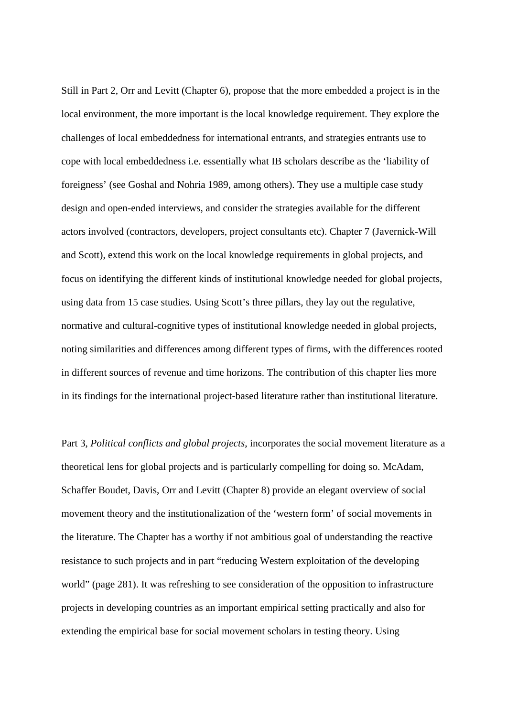Still in Part 2, Orr and Levitt (Chapter 6), propose that the more embedded a project is in the local environment, the more important is the local knowledge requirement. They explore the challenges of local embeddedness for international entrants, and strategies entrants use to cope with local embeddedness i.e. essentially what IB scholars describe as the 'liability of foreigness' (see Goshal and Nohria 1989, among others). They use a multiple case study design and open-ended interviews, and consider the strategies available for the different actors involved (contractors, developers, project consultants etc). Chapter 7 (Javernick-Will and Scott), extend this work on the local knowledge requirements in global projects, and focus on identifying the different kinds of institutional knowledge needed for global projects, using data from 15 case studies. Using Scott's three pillars, they lay out the regulative, normative and cultural-cognitive types of institutional knowledge needed in global projects, noting similarities and differences among different types of firms, with the differences rooted in different sources of revenue and time horizons. The contribution of this chapter lies more in its findings for the international project-based literature rather than institutional literature.

Part 3, *Political conflicts and global projects*, incorporates the social movement literature as a theoretical lens for global projects and is particularly compelling for doing so. McAdam, Schaffer Boudet, Davis, Orr and Levitt (Chapter 8) provide an elegant overview of social movement theory and the institutionalization of the 'western form' of social movements in the literature. The Chapter has a worthy if not ambitious goal of understanding the reactive resistance to such projects and in part "reducing Western exploitation of the developing world" (page 281). It was refreshing to see consideration of the opposition to infrastructure projects in developing countries as an important empirical setting practically and also for extending the empirical base for social movement scholars in testing theory. Using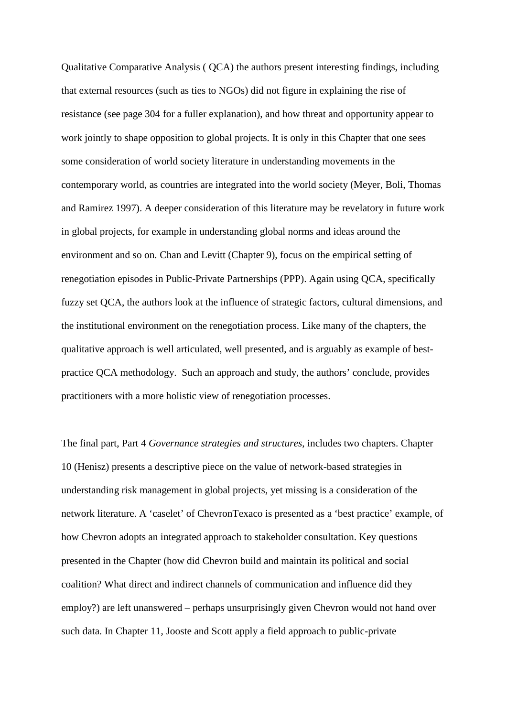Qualitative Comparative Analysis ( QCA) the authors present interesting findings, including that external resources (such as ties to NGOs) did not figure in explaining the rise of resistance (see page 304 for a fuller explanation), and how threat and opportunity appear to work jointly to shape opposition to global projects. It is only in this Chapter that one sees some consideration of world society literature in understanding movements in the contemporary world, as countries are integrated into the world society (Meyer, Boli, Thomas and Ramirez 1997). A deeper consideration of this literature may be revelatory in future work in global projects, for example in understanding global norms and ideas around the environment and so on. Chan and Levitt (Chapter 9), focus on the empirical setting of renegotiation episodes in Public-Private Partnerships (PPP). Again using QCA, specifically fuzzy set QCA, the authors look at the influence of strategic factors, cultural dimensions, and the institutional environment on the renegotiation process. Like many of the chapters, the qualitative approach is well articulated, well presented, and is arguably as example of bestpractice QCA methodology. Such an approach and study, the authors' conclude, provides practitioners with a more holistic view of renegotiation processes.

The final part, Part 4 *Governance strategies and structures*, includes two chapters. Chapter 10 (Henisz) presents a descriptive piece on the value of network-based strategies in understanding risk management in global projects, yet missing is a consideration of the network literature. A 'caselet' of ChevronTexaco is presented as a 'best practice' example, of how Chevron adopts an integrated approach to stakeholder consultation. Key questions presented in the Chapter (how did Chevron build and maintain its political and social coalition? What direct and indirect channels of communication and influence did they employ?) are left unanswered – perhaps unsurprisingly given Chevron would not hand over such data. In Chapter 11, Jooste and Scott apply a field approach to public-private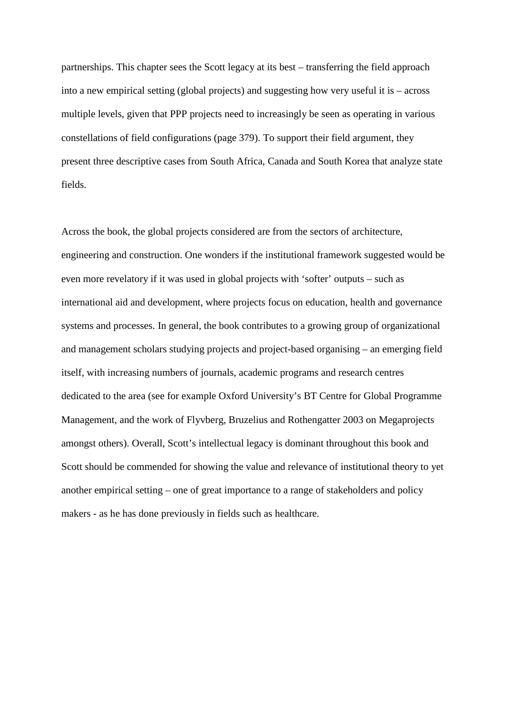partnerships. This chapter sees the Scott legacy at its best – transferring the field approach into a new empirical setting (global projects) and suggesting how very useful it is – across multiple levels, given that PPP projects need to increasingly be seen as operating in various constellations of field configurations (page 379). To support their field argument, they present three descriptive cases from South Africa, Canada and South Korea that analyze state fields.

Across the book, the global projects considered are from the sectors of architecture, engineering and construction. One wonders if the institutional framework suggested would be even more revelatory if it was used in global projects with 'softer' outputs – such as international aid and development, where projects focus on education, health and governance systems and processes. In general, the book contributes to a growing group of organizational and management scholars studying projects and project-based organising – an emerging field itself, with increasing numbers of journals, academic programs and research centres dedicated to the area (see for example Oxford University's BT Centre for Global Programme Management, and the work of Flyvberg, Bruzelius and Rothengatter 2003 on Megaprojects amongst others). Overall, Scott's intellectual legacy is dominant throughout this book and Scott should be commended for showing the value and relevance of institutional theory to yet another empirical setting – one of great importance to a range of stakeholders and policy makers - as he has done previously in fields such as healthcare.